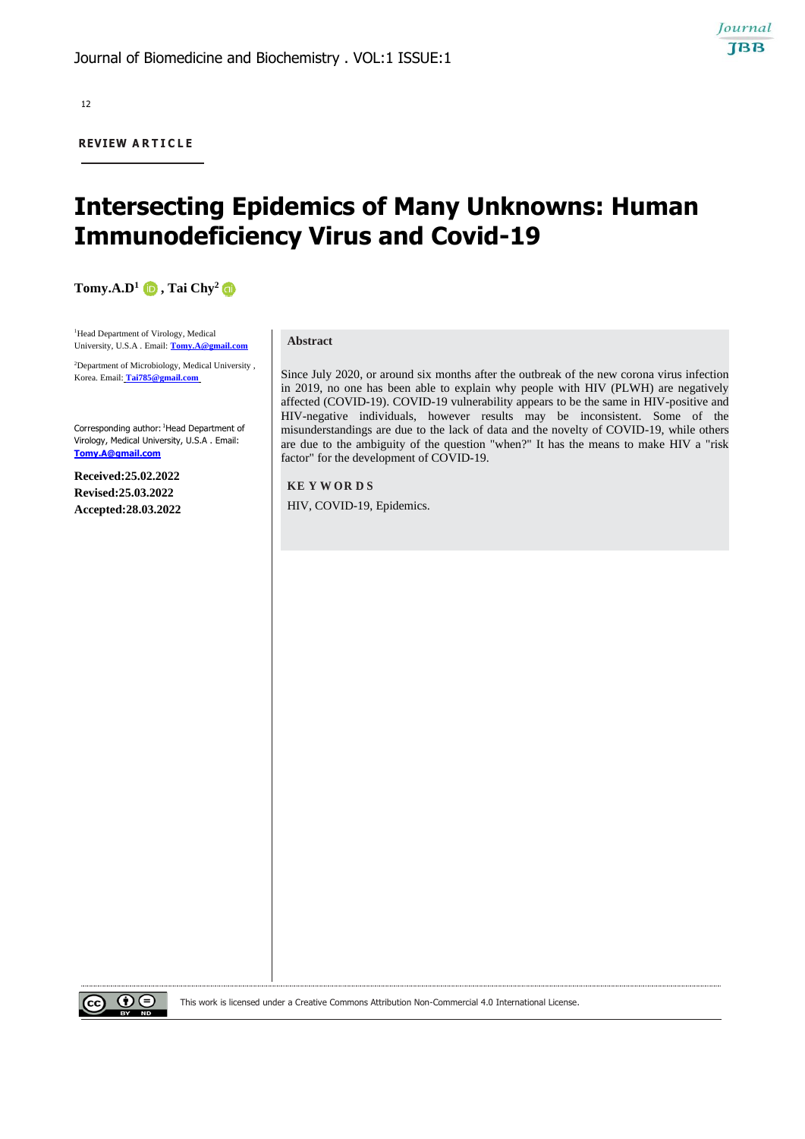12

**REVIEW A R T I C L E**

# **Intersecting Epidemics of Many Unknowns: Human Immunodeficiency Virus and Covid-19**

**Tomy.A.D1 , Tai Chy<sup>2</sup>**

<sup>1</sup>Head Department of Virology, Medical University, U.S.A . Email: **[Tomy.A@gmail.com](mailto:Tomy.A@gmail.com)**

<sup>2</sup>Department of Microbiology, Medical University , Korea. Email: **[Tai785@gmail.com](mailto:Tai785@gmail.com)**

Corresponding author: <sup>1</sup>Head Department of Virology, Medical University, U.S.A . Email: **[Tomy.A@gmail.com](mailto:Tomy.A@gmail.com)**

**Received:25.02.2022 Revised:25.03.2022 Accepted:28.03.2022**

#### **Abstract**

Since July 2020, or around six months after the outbreak of the new corona virus infection in 2019, no one has been able to explain why people with HIV (PLWH) are negatively affected (COVID-19). COVID-19 vulnerability appears to be the same in HIV-positive and HIV-negative individuals, however results may be inconsistent. Some of the misunderstandings are due to the lack of data and the novelty of COVID-19, while others are due to the ambiguity of the question "when?" It has the means to make HIV a "risk factor" for the development of COVID-19.

**KE Y W OR D S** HIV, COVID-19, Epidemics.



This work is licensed under a Creative Commons Attribution Non-Commercial 4.0 International License.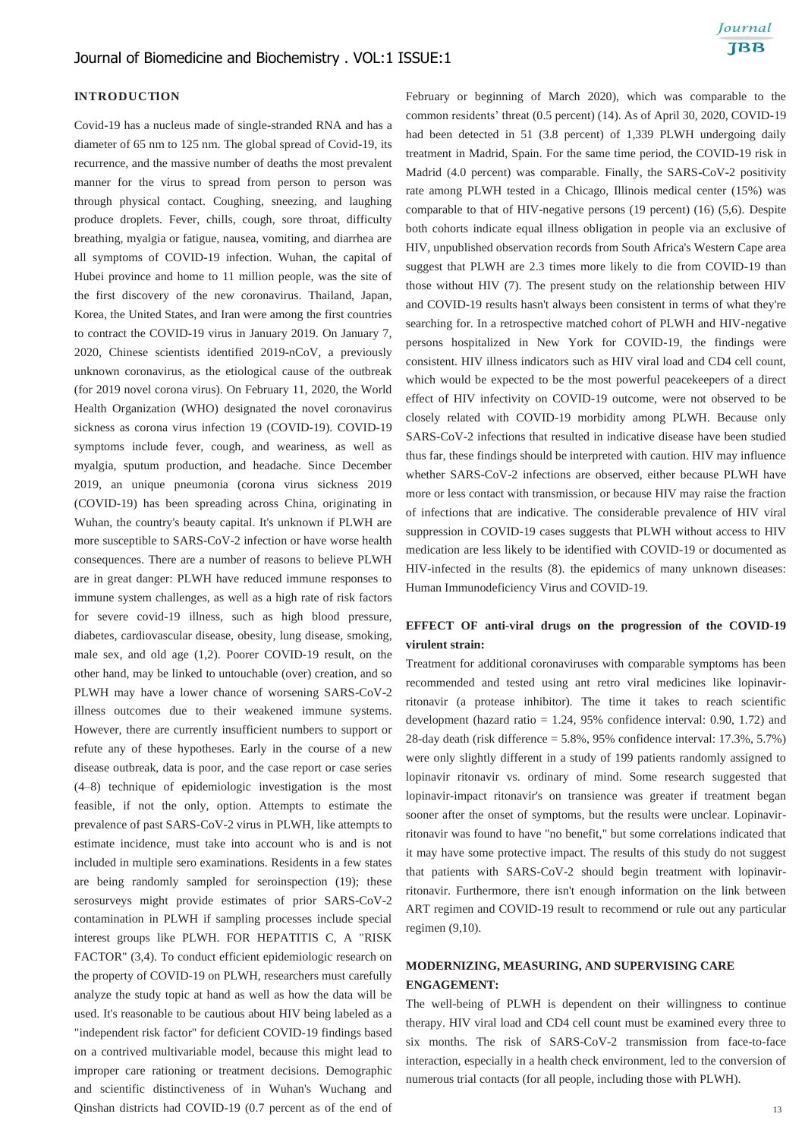### **INTRODUCTION**

Covid-19 has a nucleus made of single-stranded RNA and has a diameter of 65 nm to 125 nm. The global spread of Covid-19, its recurrence, and the massive number of deaths the most prevalent manner for the virus to spread from person to person was through physical contact. Coughing, sneezing, and laughing produce droplets. Fever, chills, cough, sore throat, difficulty breathing, myalgia or fatigue, nausea, vomiting, and diarrhea are all symptoms of COVID-19 infection. Wuhan, the capital of Hubei province and home to 11 million people, was the site of the first discovery of the new coronavirus. Thailand, Japan, Korea, the United States, and Iran were among the first countries to contract the COVID-19 virus in January 2019. On January 7, 2020, Chinese scientists identified 2019-nCoV, a previously unknown coronavirus, as the etiological cause of the outbreak (for 2019 novel corona virus). On February 11, 2020, the World Health Organization (WHO) designated the novel coronavirus sickness as corona virus infection 19 (COVID-19). COVID-19 symptoms include fever, cough, and weariness, as well as myalgia, sputum production, and headache. Since December 2019, an unique pneumonia (corona virus sickness 2019 (COVID-19) has been spreading across China, originating in Wuhan, the country's beauty capital. It's unknown if PLWH are more susceptible to SARS-CoV-2 infection or have worse health consequences. There are a number of reasons to believe PLWH are in great danger: PLWH have reduced immune responses to immune system challenges, as well as a high rate of risk factors for severe covid-19 illness, such as high blood pressure, diabetes, cardiovascular disease, obesity, lung disease, smoking, male sex, and old age (1,2). Poorer COVID-19 result, on the other hand, may be linked to untouchable (over) creation, and so PLWH may have a lower chance of worsening SARS-CoV-2 illness outcomes due to their weakened immune systems. However, there are currently insufficient numbers to support or refute any of these hypotheses. Early in the course of a new disease outbreak, data is poor, and the case report or case series (4–8) technique of epidemiologic investigation is the most feasible, if not the only, option. Attempts to estimate the prevalence of past SARS-CoV-2 virus in PLWH, like attempts to estimate incidence, must take into account who is and is not included in multiple sero examinations. Residents in a few states are being randomly sampled for seroinspection (19); these serosurveys might provide estimates of prior SARS-CoV-2 contamination in PLWH if sampling processes include special interest groups like PLWH. FOR HEPATITIS C, A "RISK FACTOR" (3,4). To conduct efficient epidemiologic research on the property of COVID-19 on PLWH, researchers must carefully analyze the study topic at hand as well as how the data will be used. It's reasonable to be cautious about HIV being labeled as a "independent risk factor" for deficient COVID-19 findings based on a contrived multivariable model, because this might lead to improper care rationing or treatment decisions. Demographic and scientific distinctiveness of in Wuhan's Wuchang and Qinshan districts had COVID-19 (0.7 percent as of the end of February or beginning of March 2020), which was comparable to the common residents' threat (0.5 percent) (14). As of April 30, 2020, COVID-19 had been detected in 51 (3.8 percent) of 1,339 PLWH undergoing daily treatment in Madrid, Spain. For the same time period, the COVID-19 risk in Madrid (4.0 percent) was comparable. Finally, the SARS-CoV-2 positivity rate among PLWH tested in a Chicago, Illinois medical center (15%) was comparable to that of HIV-negative persons (19 percent) (16) (5,6). Despite both cohorts indicate equal illness obligation in people via an exclusive of HIV, unpublished observation records from South Africa's Western Cape area suggest that PLWH are 2.3 times more likely to die from COVID-19 than those without HIV (7). The present study on the relationship between HIV and COVID-19 results hasn't always been consistent in terms of what they're searching for. In a retrospective matched cohort of PLWH and HIV-negative persons hospitalized in New York for COVID-19, the findings were consistent. HIV illness indicators such as HIV viral load and CD4 cell count, which would be expected to be the most powerful peacekeepers of a direct effect of HIV infectivity on COVID-19 outcome, were not observed to be closely related with COVID-19 morbidity among PLWH. Because only SARS-CoV-2 infections that resulted in indicative disease have been studied thus far, these findings should be interpreted with caution. HIV may influence whether SARS-CoV-2 infections are observed, either because PLWH have more or less contact with transmission, or because HIV may raise the fraction of infections that are indicative. The considerable prevalence of HIV viral suppression in COVID-19 cases suggests that PLWH without access to HIV medication are less likely to be identified with COVID-19 or documented as HIV-infected in the results (8). the epidemics of many unknown diseases: Human Immunodeficiency Virus and COVID-19.

## **EFFECT OF anti-viral drugs on the progression of the COVID-19 virulent strain:**

Treatment for additional coronaviruses with comparable symptoms has been recommended and tested using ant retro viral medicines like lopinavirritonavir (a protease inhibitor). The time it takes to reach scientific development (hazard ratio  $= 1.24$ , 95% confidence interval: 0.90, 1.72) and 28-day death (risk difference = 5.8%, 95% confidence interval: 17.3%, 5.7%) were only slightly different in a study of 199 patients randomly assigned to lopinavir ritonavir vs. ordinary of mind. Some research suggested that lopinavir-impact ritonavir's on transience was greater if treatment began sooner after the onset of symptoms, but the results were unclear. Lopinavirritonavir was found to have "no benefit," but some correlations indicated that it may have some protective impact. The results of this study do not suggest that patients with SARS-CoV-2 should begin treatment with lopinavirritonavir. Furthermore, there isn't enough information on the link between ART regimen and COVID-19 result to recommend or rule out any particular regimen (9,10).

## **MODERNIZING, MEASURING, AND SUPERVISING CARE ENGAGEMENT:**

The well-being of PLWH is dependent on their willingness to continue therapy. HIV viral load and CD4 cell count must be examined every three to six months. The risk of SARS-CoV-2 transmission from face-to-face interaction, especially in a health check environment, led to the conversion of numerous trial contacts (for all people, including those with PLWH).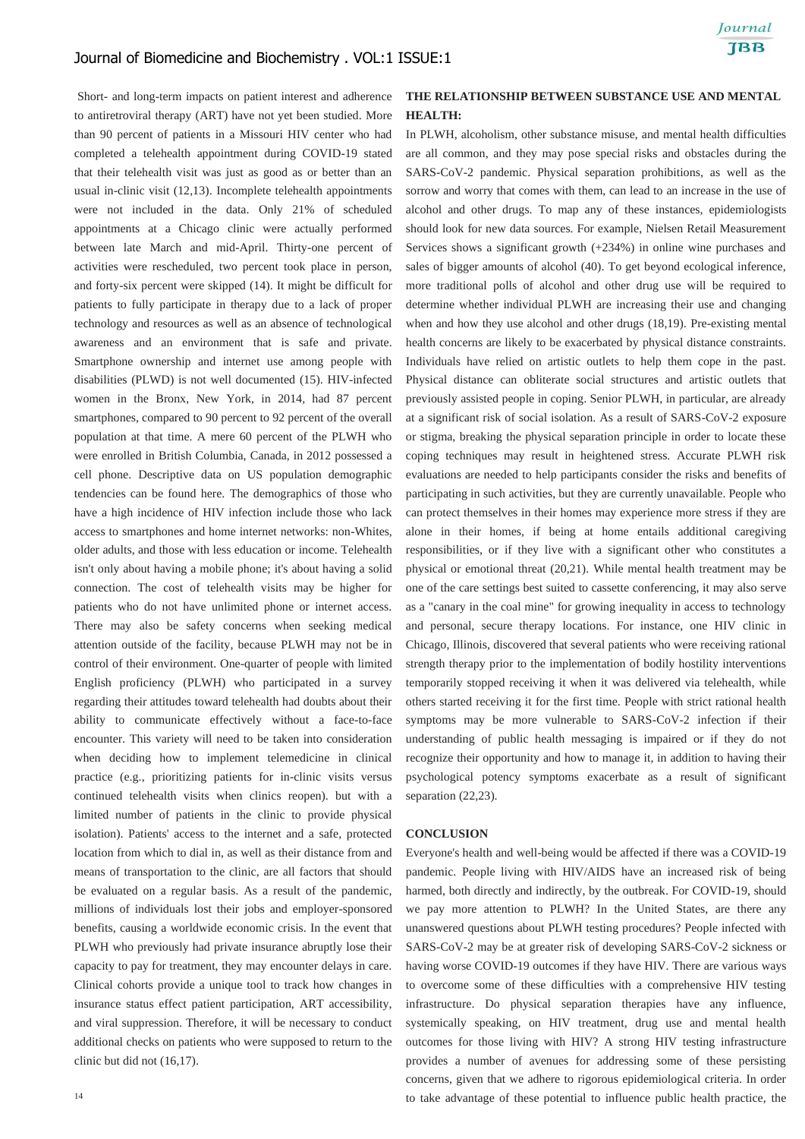Short- and long-term impacts on patient interest and adherence to antiretroviral therapy (ART) have not yet been studied. More than 90 percent of patients in a Missouri HIV center who had completed a telehealth appointment during COVID-19 stated that their telehealth visit was just as good as or better than an usual in-clinic visit (12,13). Incomplete telehealth appointments were not included in the data. Only 21% of scheduled appointments at a Chicago clinic were actually performed between late March and mid-April. Thirty-one percent of activities were rescheduled, two percent took place in person, and forty-six percent were skipped (14). It might be difficult for patients to fully participate in therapy due to a lack of proper technology and resources as well as an absence of technological awareness and an environment that is safe and private. Smartphone ownership and internet use among people with disabilities (PLWD) is not well documented (15). HIV-infected women in the Bronx, New York, in 2014, had 87 percent smartphones, compared to 90 percent to 92 percent of the overall population at that time. A mere 60 percent of the PLWH who were enrolled in British Columbia, Canada, in 2012 possessed a cell phone. Descriptive data on US population demographic tendencies can be found here. The demographics of those who have a high incidence of HIV infection include those who lack access to smartphones and home internet networks: non-Whites, older adults, and those with less education or income. Telehealth isn't only about having a mobile phone; it's about having a solid connection. The cost of telehealth visits may be higher for patients who do not have unlimited phone or internet access. There may also be safety concerns when seeking medical attention outside of the facility, because PLWH may not be in control of their environment. One-quarter of people with limited English proficiency (PLWH) who participated in a survey regarding their attitudes toward telehealth had doubts about their ability to communicate effectively without a face-to-face encounter. This variety will need to be taken into consideration when deciding how to implement telemedicine in clinical practice (e.g., prioritizing patients for in-clinic visits versus continued telehealth visits when clinics reopen). but with a limited number of patients in the clinic to provide physical isolation). Patients' access to the internet and a safe, protected location from which to dial in, as well as their distance from and means of transportation to the clinic, are all factors that should be evaluated on a regular basis. As a result of the pandemic, millions of individuals lost their jobs and employer-sponsored benefits, causing a worldwide economic crisis. In the event that PLWH who previously had private insurance abruptly lose their capacity to pay for treatment, they may encounter delays in care. Clinical cohorts provide a unique tool to track how changes in insurance status effect patient participation, ART accessibility, and viral suppression. Therefore, it will be necessary to conduct additional checks on patients who were supposed to return to the clinic but did not (16,17).

## **THE RELATIONSHIP BETWEEN SUBSTANCE USE AND MENTAL HEALTH:**

In PLWH, alcoholism, other substance misuse, and mental health difficulties are all common, and they may pose special risks and obstacles during the SARS-CoV-2 pandemic. Physical separation prohibitions, as well as the sorrow and worry that comes with them, can lead to an increase in the use of alcohol and other drugs. To map any of these instances, epidemiologists should look for new data sources. For example, Nielsen Retail Measurement Services shows a significant growth (+234%) in online wine purchases and sales of bigger amounts of alcohol (40). To get beyond ecological inference, more traditional polls of alcohol and other drug use will be required to determine whether individual PLWH are increasing their use and changing when and how they use alcohol and other drugs (18,19). Pre-existing mental health concerns are likely to be exacerbated by physical distance constraints. Individuals have relied on artistic outlets to help them cope in the past. Physical distance can obliterate social structures and artistic outlets that previously assisted people in coping. Senior PLWH, in particular, are already at a significant risk of social isolation. As a result of SARS-CoV-2 exposure or stigma, breaking the physical separation principle in order to locate these coping techniques may result in heightened stress. Accurate PLWH risk evaluations are needed to help participants consider the risks and benefits of participating in such activities, but they are currently unavailable. People who can protect themselves in their homes may experience more stress if they are alone in their homes, if being at home entails additional caregiving responsibilities, or if they live with a significant other who constitutes a physical or emotional threat (20,21). While mental health treatment may be one of the care settings best suited to cassette conferencing, it may also serve as a "canary in the coal mine" for growing inequality in access to technology and personal, secure therapy locations. For instance, one HIV clinic in Chicago, Illinois, discovered that several patients who were receiving rational strength therapy prior to the implementation of bodily hostility interventions temporarily stopped receiving it when it was delivered via telehealth, while others started receiving it for the first time. People with strict rational health symptoms may be more vulnerable to SARS-CoV-2 infection if their understanding of public health messaging is impaired or if they do not recognize their opportunity and how to manage it, in addition to having their psychological potency symptoms exacerbate as a result of significant separation (22,23).

#### **CONCLUSION**

Everyone's health and well-being would be affected if there was a COVID-19 pandemic. People living with HIV/AIDS have an increased risk of being harmed, both directly and indirectly, by the outbreak. For COVID-19, should we pay more attention to PLWH? In the United States, are there any unanswered questions about PLWH testing procedures? People infected with SARS-CoV-2 may be at greater risk of developing SARS-CoV-2 sickness or having worse COVID-19 outcomes if they have HIV. There are various ways to overcome some of these difficulties with a comprehensive HIV testing infrastructure. Do physical separation therapies have any influence, systemically speaking, on HIV treatment, drug use and mental health outcomes for those living with HIV? A strong HIV testing infrastructure provides a number of avenues for addressing some of these persisting concerns, given that we adhere to rigorous epidemiological criteria. In order to take advantage of these potential to influence public health practice, the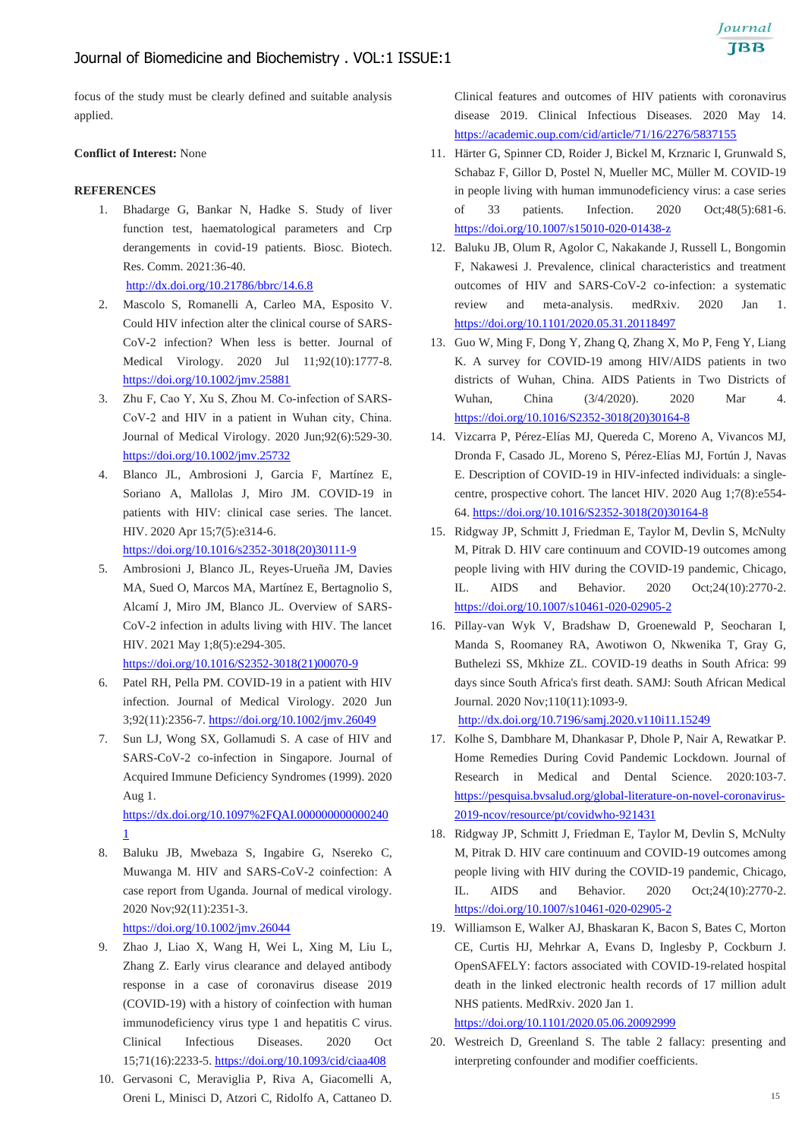focus of the study must be clearly defined and suitable analysis applied.

#### **Conflict of Interest:** None

#### **REFERENCES**

1. Bhadarge G, Bankar N, Hadke S. Study of liver function test, haematological parameters and Crp derangements in covid-19 patients. Biosc. Biotech. Res. Comm. 2021:36-40.

<http://dx.doi.org/10.21786/bbrc/14.6.8>

- 2. Mascolo S, Romanelli A, Carleo MA, Esposito V. Could HIV infection alter the clinical course of SARS-CoV-2 infection? When less is better. Journal of Medical Virology. 2020 Jul 11;92(10):1777-8. <https://doi.org/10.1002/jmv.25881>
- 3. Zhu F, Cao Y, Xu S, Zhou M. Co-infection of SARS-CoV‐2 and HIV in a patient in Wuhan city, China. Journal of Medical Virology. 2020 Jun;92(6):529-30. <https://doi.org/10.1002/jmv.25732>
- 4. Blanco JL, Ambrosioni J, Garcia F, Martínez E, Soriano A, Mallolas J, Miro JM. COVID-19 in patients with HIV: clinical case series. The lancet. HIV. 2020 Apr 15;7(5):e314-6. [https://doi.org/10.1016/s2352-3018\(20\)30111-9](https://doi.org/10.1016/s2352-3018(20)30111-9)
- 5. Ambrosioni J, Blanco JL, Reyes-Urueña JM, Davies MA, Sued O, Marcos MA, Martínez E, Bertagnolio S, Alcamí J, Miro JM, Blanco JL. Overview of SARS-CoV-2 infection in adults living with HIV. The lancet HIV. 2021 May 1;8(5):e294-305. [https://doi.org/10.1016/S2352-3018\(21\)00070-9](https://doi.org/10.1016/S2352-3018(21)00070-9)
- 6. Patel RH, Pella PM. COVID-19 in a patient with HIV infection. Journal of Medical Virology. 2020 Jun 3;92(11):2356-7. <https://doi.org/10.1002/jmv.26049>
- 7. Sun LJ, Wong SX, Gollamudi S. A case of HIV and SARS-CoV-2 co-infection in Singapore. Journal of Acquired Immune Deficiency Syndromes (1999). 2020 Aug 1. [https://dx.doi.org/10.1097%2FQAI.000000000000240](https://dx.doi.org/10.1097%2FQAI.0000000000002401)

[1](https://dx.doi.org/10.1097%2FQAI.0000000000002401)

8. Baluku JB, Mwebaza S, Ingabire G, Nsereko C, Muwanga M. HIV and SARS-CoV-2 coinfection: A case report from Uganda. Journal of medical virology. 2020 Nov;92(11):2351-3.

<https://doi.org/10.1002/jmv.26044>

- 9. Zhao J, Liao X, Wang H, Wei L, Xing M, Liu L, Zhang Z. Early virus clearance and delayed antibody response in a case of coronavirus disease 2019 (COVID-19) with a history of coinfection with human immunodeficiency virus type 1 and hepatitis C virus. Clinical Infectious Diseases. 2020 Oct 15;71(16):2233-5. <https://doi.org/10.1093/cid/ciaa408>
- 10. Gervasoni C, Meraviglia P, Riva A, Giacomelli A, Oreni L, Minisci D, Atzori C, Ridolfo A, Cattaneo D.

Clinical features and outcomes of HIV patients with coronavirus disease 2019. Clinical Infectious Diseases. 2020 May 14. <https://academic.oup.com/cid/article/71/16/2276/5837155>

- 11. Härter G, Spinner CD, Roider J, Bickel M, Krznaric I, Grunwald S, Schabaz F, Gillor D, Postel N, Mueller MC, Müller M. COVID-19 in people living with human immunodeficiency virus: a case series of 33 patients. Infection. 2020 Oct;48(5):681-6. <https://doi.org/10.1007/s15010-020-01438-z>
- 12. Baluku JB, Olum R, Agolor C, Nakakande J, Russell L, Bongomin F, Nakawesi J. Prevalence, clinical characteristics and treatment outcomes of HIV and SARS-CoV-2 co-infection: a systematic review and meta-analysis. medRxiv. 2020 Jan 1. <https://doi.org/10.1101/2020.05.31.20118497>
- 13. Guo W, Ming F, Dong Y, Zhang Q, Zhang X, Mo P, Feng Y, Liang K. A survey for COVID-19 among HIV/AIDS patients in two districts of Wuhan, China. AIDS Patients in Two Districts of Wuhan, China (3/4/2020). 2020 Mar 4. [https://doi.org/10.1016/S2352-3018\(20\)30164-8](https://doi.org/10.1016/S2352-3018(20)30164-8)
- 14. Vizcarra P, Pérez-Elías MJ, Quereda C, Moreno A, Vivancos MJ, Dronda F, Casado JL, Moreno S, Pérez-Elías MJ, Fortún J, Navas E. Description of COVID-19 in HIV-infected individuals: a singlecentre, prospective cohort. The lancet HIV. 2020 Aug 1;7(8):e554- 64. [https://doi.org/10.1016/S2352-3018\(20\)30164-8](https://doi.org/10.1016/S2352-3018(20)30164-8)
- 15. Ridgway JP, Schmitt J, Friedman E, Taylor M, Devlin S, McNulty M, Pitrak D. HIV care continuum and COVID-19 outcomes among people living with HIV during the COVID-19 pandemic, Chicago, IL. AIDS and Behavior. 2020 Oct;24(10):2770-2. <https://doi.org/10.1007/s10461-020-02905-2>
- 16. Pillay-van Wyk V, Bradshaw D, Groenewald P, Seocharan I, Manda S, Roomaney RA, Awotiwon O, Nkwenika T, Gray G, Buthelezi SS, Mkhize ZL. COVID-19 deaths in South Africa: 99 days since South Africa's first death. SAMJ: South African Medical Journal. 2020 Nov;110(11):1093-9.

<http://dx.doi.org/10.7196/samj.2020.v110i11.15249>

- 17. Kolhe S, Dambhare M, Dhankasar P, Dhole P, Nair A, Rewatkar P. Home Remedies During Covid Pandemic Lockdown. Journal of Research in Medical and Dental Science. 2020:103-7. [https://pesquisa.bvsalud.org/global-literature-on-novel-coronavirus-](https://pesquisa.bvsalud.org/global-literature-on-novel-coronavirus-2019-ncov/resource/pt/covidwho-921431)[2019-ncov/resource/pt/covidwho-921431](https://pesquisa.bvsalud.org/global-literature-on-novel-coronavirus-2019-ncov/resource/pt/covidwho-921431)
- 18. Ridgway JP, Schmitt J, Friedman E, Taylor M, Devlin S, McNulty M, Pitrak D. HIV care continuum and COVID-19 outcomes among people living with HIV during the COVID-19 pandemic, Chicago, IL. AIDS and Behavior. 2020 Oct;24(10):2770-2. <https://doi.org/10.1007/s10461-020-02905-2>
- 19. Williamson E, Walker AJ, Bhaskaran K, Bacon S, Bates C, Morton CE, Curtis HJ, Mehrkar A, Evans D, Inglesby P, Cockburn J. OpenSAFELY: factors associated with COVID-19-related hospital death in the linked electronic health records of 17 million adult NHS patients. MedRxiv. 2020 Jan 1.

<https://doi.org/10.1101/2020.05.06.20092999>

20. Westreich D, Greenland S. The table 2 fallacy: presenting and interpreting confounder and modifier coefficients.